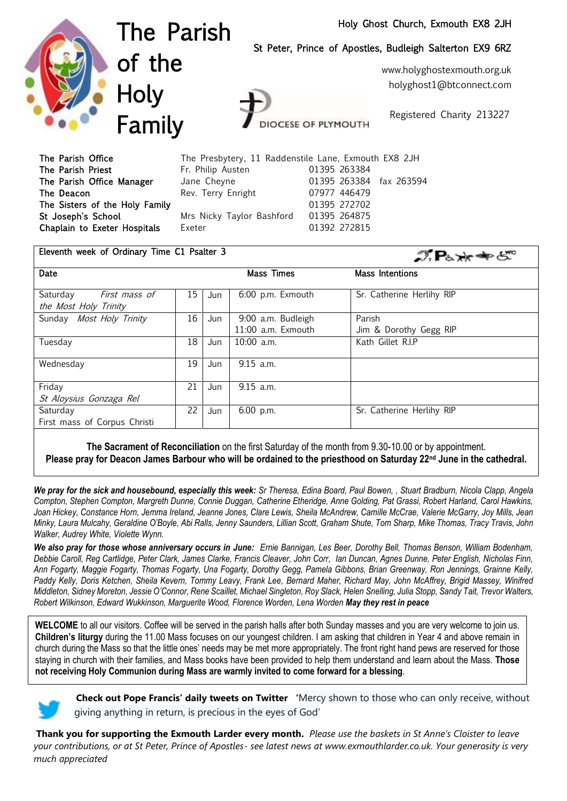## Holy Ghost Church, Exmouth EX8 2JH



The Parish of the **Holy** Family

St Peter, Prince of Apostles, Budleigh Salterton EX9 6RZ

www.holyghostexmouth.org.uk holyghost1@btconnect.com

Registered Charity 213227

 $\mathcal{D}$ **P**<sub>b</sub>  $\star$   $\star$   $\star$   $\in$   $\mathbb{C}^{\circ}$ 

| The Parish Office              | The Presbytery, 11 Raddenstile Lane, Exmouth EX8 2JH |                         |
|--------------------------------|------------------------------------------------------|-------------------------|
| The Parish Priest              | Fr. Philip Austen                                    | 01395 263384            |
| The Parish Office Manager      | Jane Cheyne                                          | 01395 263384 fax 263594 |
| The Deacon                     | Rev. Terry Enright                                   | 07977 446479            |
| The Sisters of the Holy Family |                                                      | 01395 272702            |
| St Joseph's School             | Mrs Nicky Taylor Bashford 01395 264875               |                         |
| Chaplain to Exeter Hospitals   | Exeter                                               | 01392 272815            |

**DCESE OF PLYMOUTH** 

#### Eleventh week of Ordinary Time C1 Psalter 3

| Date                         |      |     | Mass Times         | Mass Intentions           |
|------------------------------|------|-----|--------------------|---------------------------|
| Saturday<br>First mass of    | 15 I | Jun | 6:00 p.m. Exmouth  | Sr. Catherine Herlihy RIP |
| the Most Holy Trinity        |      |     |                    |                           |
| Sunday Most Holy Trinity     | 16   | Jun | 9:00 a.m. Budleigh | Parish                    |
|                              |      |     | 11:00 a.m. Exmouth | Jim & Dorothy Gegg RIP    |
| Tuesday                      | 18   | Jun | $10:00$ a.m.       | Kath Gillet R.I.P         |
| Wednesday                    | 19   | Jun | $9.15$ a.m.        |                           |
| Friday                       | 21   | Jun | $9.15$ a.m.        |                           |
| St Aloysius Gonzaga Rel      |      |     |                    |                           |
| Saturday                     | 22   | Jun | 6.00 p.m.          | Sr. Catherine Herlihy RIP |
| First mass of Corpus Christi |      |     |                    |                           |
|                              |      |     |                    |                           |

**The Sacrament of Reconciliation** on the first Saturday of the month from 9.30-10.00 or by appointment. **Please pray for Deacon James Barbour who will be ordained to the priesthood on Saturday 22nd June in the cathedral.**

*We pray for the sick and housebound, especially this week: Sr Theresa, Edina Board, Paul Bowen, , Stuart Bradburn, Nicola Clapp, Angela Compton, Stephen Compton, Margreth Dunne, Connie Duggan, Catherine Etheridge, Anne Golding, Pat Grassi, Robert Harland, Carol Hawkins, Joan Hickey, Constance Horn, Jemma Ireland, Jeanne Jones, Clare Lewis, Sheila McAndrew, Camille McCrae, Valerie McGarry, Joy Mills, Jean Minky, Laura Mulcahy, Geraldine O'Boyle, Abi Ralls, Jenny Saunders, Lillian Scott, Graham Shute, Tom Sharp, Mike Thomas, Tracy Travis, John Walker, Audrey White, Violette Wynn.*

*We also pray for those whose anniversary occurs in June: Ernie Bannigan, Les Beer, Dorothy Bell, Thomas Benson, William Bodenham, Debbie Caroll, Reg Cartlidge, Peter Clark, James Clarke, Francis Cleaver, John Corr, Ian Duncan, Agnes Dunne, Peter English, Nicholas Finn, Ann Fogarty, Maggie Fogarty, Thomas Fogarty, Una Fogarty, Dorothy Gegg, Pamela Gibbons, Brian Greenway, Ron Jennings, Grainne Kelly, Paddy Kelly, Doris Ketchen, Sheila Kevern, Tommy Leavy, Frank Lee, Bernard Maher, Richard May, John McAffrey, Brigid Massey, Winifred Middleton, Sidney Moreton, Jessie O'Connor, Rene Scaillet, Michael Singleton, Roy Slack, Helen Snelling, Julia Stopp, Sandy Tait, Trevor Walters, Robert Wilkinson, Edward Wukkinson, Marguerite Wood, Florence Worden, Lena Worden May they rest in peace*

**WELCOME** to all our visitors. Coffee will be served in the parish halls after both Sunday masses and you are very welcome to join us. **Children's liturgy** during the 11.00 Mass focuses on our youngest children. I am asking that children in Year 4 and above remain in church during the Mass so that the little ones' needs may be met more appropriately. The front right hand pews are reserved for those staying in church with their families, and Mass books have been provided to help them understand and learn about the Mass. **Those not receiving Holy Communion during Mass are warmly invited to come forward for a blessing**.



**Check out Pope Francis' daily tweets on Twitter '**Mercy shown to those who can only receive, without giving anything in return, is precious in the eyes of God'

**Thank you for supporting the Exmouth Larder every month.** *Please use the baskets in St Anne's Cloister to leave your contributions, or at St Peter, Prince of Apostles- see latest news at [www.exmouthlarder.co.uk. Your generosity is very](http://www.exmouthlarder.co.uk/.%20Your%20generosity%20is%20very%20much%20appreciated%202017Sim)  [much appreciated](http://www.exmouthlarder.co.uk/.%20Your%20generosity%20is%20very%20much%20appreciated%202017Sim)*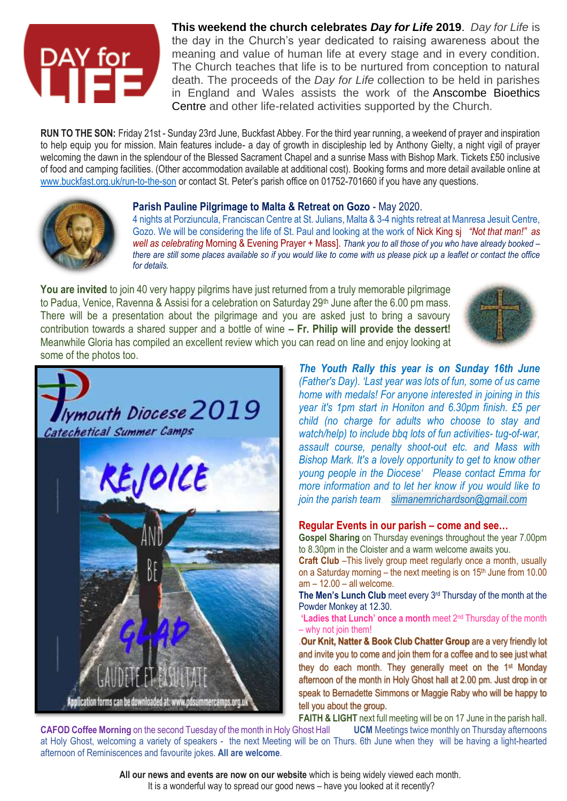# DAY for<br>IIIEE

**This weekend the church celebrates** *Day for Life* **2019**. *Day for Life* is the day in the Church's year dedicated to raising awareness about the meaning and value of human life at every stage and in every condition. The Church teaches that life is to be nurtured from conception to natural death. The proceeds of the *Day for Life* collection to be held in parishes in England and Wales assists the work of the [Anscombe Bioethics](http://www.dayforlife.org/anscombe-bioethics-centre/)  [Centre](http://www.dayforlife.org/anscombe-bioethics-centre/) and other life-related activities supported by the Church.

**RUN TO THE SON:** Friday 21st - Sunday 23rd June, Buckfast Abbey. For the third year running, a weekend of prayer and inspiration to help equip you for mission. Main features include- a day of growth in discipleship led by Anthony Gielty, a night vigil of prayer welcoming the dawn in the splendour of the Blessed Sacrament Chapel and a sunrise Mass with Bishop Mark. Tickets £50 inclusive of food and camping facilities. (Other accommodation available at additional cost). Booking forms and more detail available online at [www.buckfast.org.uk/run-to-the-son](http://www.buckfast.org.uk/run-to-the-son) or contact St. Peter's parish office on 01752-701660 if you have any questions.



# **Parish Pauline Pilgrimage to Malta & Retreat on Gozo** - May 2020.

4 nights at Porziuncula, Franciscan Centre at St. Julians, Malta & 3-4 nights retreat at Manresa Jesuit Centre, Gozo. We will be considering the life of St. Paul and looking at the work of Nick King sj *"Not that man!" as well as celebrating* Morning & Evening Prayer + Mass]. *Thank you to all those of you who have already booked – there are still some places available so if you would like to come with us please pick up a leaflet or contact the office for details.*

**You are invited** to join 40 very happy pilgrims have just returned from a truly memorable pilgrimage to Padua, Venice, Ravenna & Assisi for a celebration on Saturday 29<sup>th</sup> June after the 6.00 pm mass. There will be a presentation about the pilgrimage and you are asked just to bring a savoury contribution towards a shared supper and a bottle of wine **– Fr. Philip will provide the dessert!** Meanwhile Gloria has compiled an excellent review which you can read on line and enjoy looking at some of the photos too.





*The Youth Rally this year is on Sunday 16th June (Father's Day). 'Last year was lots of fun, some of us came home with medals! For anyone interested in joining in this year it's 1pm start in Honiton and 6.30pm finish. £5 per child (no charge for adults who choose to stay and watch/help) to include bbq lots of fun activities- tug-of-war, assault course, penalty shoot-out etc. and Mass with Bishop Mark. It's a lovely opportunity to get to know other young people in the Diocese' Please contact Emma for more information and to let her know if you would like to join the parish team [slimanemrichardson@gmail.com](mailto:slimanemrichardson@gmail.com)*

## **Regular Events in our parish – come and see…**

**Gospel Sharing** on Thursday evenings throughout the year 7.00pm to 8.30pm in the Cloister and a warm welcome awaits you.

**Craft Club** –This lively group meet regularly once a month, usually on a Saturday morning – the next meeting is on 15<sup>th</sup> June from 10.00 am – 12.00 – all welcome.

**The Men's Lunch Club** meet every 3<sup>rd</sup> Thursday of the month at the Powder Monkey at 12.30.

**'Ladies that Lunch' once a month** meet 2<sup>nd</sup> Thursday of the month – why not join them!

.**Our Knit, Natter & Book Club Chatter Group** are a very friendly lot and invite you to come and join them for a coffee and to see just what they do each month. They generally meet on the 1st Monday afternoon of the month in Holy Ghost hall at 2.00 pm. Just drop in or speak to Bernadette Simmons or Maggie Raby who will be happy to tell you about the group.

**FAITH & LIGHT** next full meeting will be on 17 June in the parish hall.

**CAFOD Coffee Morning** on the second Tuesday of the month in Holy Ghost Hall **UCM** Meetings twice monthly on Thursday afternoons at Holy Ghost, welcoming a variety of speakers - the next Meeting will be on Thurs. 6th June when they will be having a light-hearted afternoon of Reminiscences and favourite jokes. **All are welcome**.

> **All our news and events are now on our website** which is being widely viewed each month. It is a wonderful way to spread our good news – have you looked at it recently?